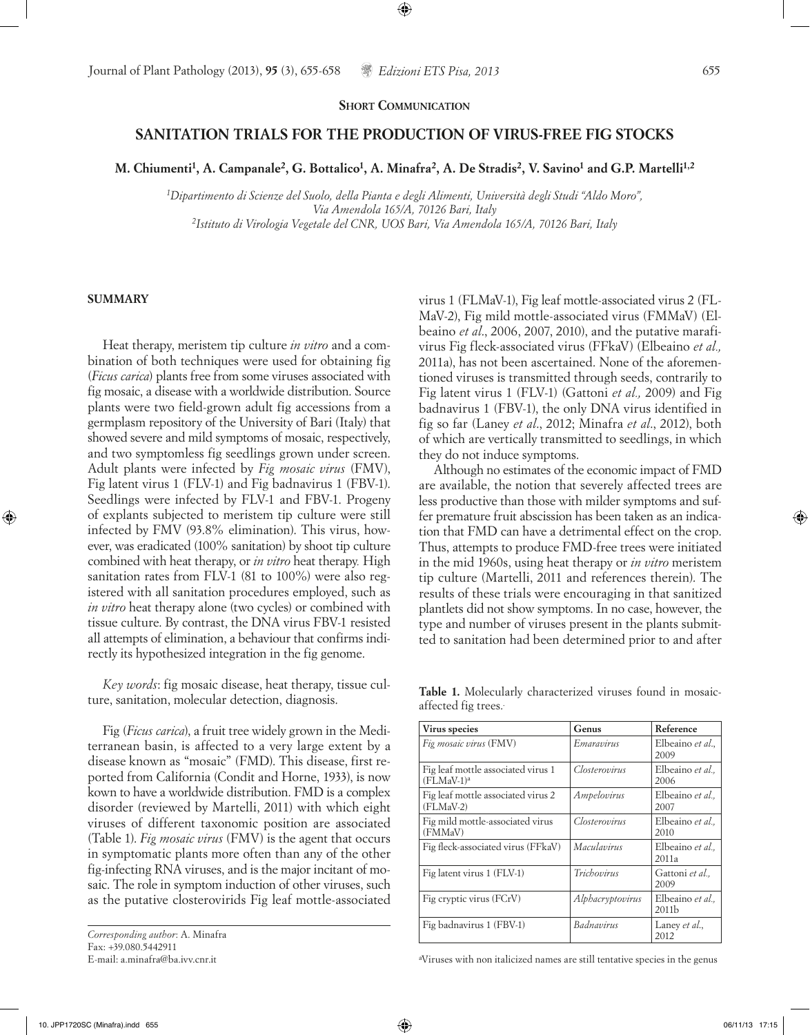## **SHORT COMMUNICATION**

## **SANITATION TRIALS FOR THE PRODUCTION OF VIRUS-FREE FIG STOCKS**

M. Chiumenti<sup>1</sup>, A. Campanale<sup>2</sup>, G. Bottalico<sup>1</sup>, A. Minafra<sup>2</sup>, A. De Stradis<sup>2</sup>, V. Savino<sup>1</sup> and G.P. Martelli<sup>1,2</sup>

*1Dipartimento di Scienze del Suolo, della Pianta e degli Alimenti, Università degli Studi "Aldo Moro", Via Amendola 165/A, 70126 Bari, Italy 2Istituto di Virologia Vegetale del CNR, UOS Bari, Via Amendola 165/A, 70126 Bari, Italy* 

## **SUMMARY**

Heat therapy, meristem tip culture *in vitro* and a combination of both techniques were used for obtaining fig (*Ficus carica*) plants free from some viruses associated with fig mosaic, a disease with a worldwide distribution. Source plants were two field-grown adult fig accessions from a germplasm repository of the University of Bari (Italy) that showed severe and mild symptoms of mosaic, respectively, and two symptomless fig seedlings grown under screen. Adult plants were infected by *Fig mosaic virus* (FMV), Fig latent virus 1 (FLV-1) and Fig badnavirus 1 (FBV-1). Seedlings were infected by FLV-1 and FBV-1. Progeny of explants subjected to meristem tip culture were still infected by FMV (93.8% elimination). This virus, however, was eradicated (100% sanitation) by shoot tip culture combined with heat therapy, or *in vitro* heat therapy*.* High sanitation rates from FLV-1 (81 to 100%) were also registered with all sanitation procedures employed, such as *in vitro* heat therapy alone (two cycles) or combined with tissue culture. By contrast, the DNA virus FBV-1 resisted all attempts of elimination, a behaviour that confirms indirectly its hypothesized integration in the fig genome.

*Key words*: fig mosaic disease, heat therapy, tissue culture, sanitation, molecular detection, diagnosis.

Fig (*Ficus carica*), a fruit tree widely grown in the Mediterranean basin, is affected to a very large extent by a disease known as "mosaic" (FMD). This disease, first reported from California (Condit and Horne, 1933), is now kown to have a worldwide distribution. FMD is a complex disorder (reviewed by Martelli, 2011) with which eight viruses of different taxonomic position are associated (Table 1). *Fig mosaic virus* (FMV) is the agent that occurs in symptomatic plants more often than any of the other fig-infecting RNA viruses, and is the major incitant of mosaic. The role in symptom induction of other viruses, such as the putative closterovirids Fig leaf mottle-associated

*Corresponding author*: A. Minafra Fax: +39.080.5442911 E-mail: a.minafra@ba.ivv.cnr.it

virus 1 (FLMaV-1), Fig leaf mottle-associated virus 2 (FL-MaV-2), Fig mild mottle-associated virus (FMMaV) (Elbeaino *et al*., 2006, 2007, 2010), and the putative marafivirus Fig fleck-associated virus (FFkaV) (Elbeaino *et al.,* 2011a), has not been ascertained. None of the aforementioned viruses is transmitted through seeds, contrarily to Fig latent virus 1 (FLV-1) (Gattoni *et al.,* 2009) and Fig badnavirus 1 (FBV-1), the only DNA virus identified in fig so far (Laney *et al*., 2012; Minafra *et al*., 2012), both of which are vertically transmitted to seedlings, in which they do not induce symptoms.

Although no estimates of the economic impact of FMD are available, the notion that severely affected trees are less productive than those with milder symptoms and suffer premature fruit abscission has been taken as an indication that FMD can have a detrimental effect on the crop. Thus, attempts to produce FMD-free trees were initiated in the mid 1960s, using heat therapy or *in vitro* meristem tip culture (Martelli, 2011 and references therein). The results of these trials were encouraging in that sanitized plantlets did not show symptoms. In no case, however, the type and number of viruses present in the plants submitted to sanitation had been determined prior to and after

**Table 1.** Molecularly characterized viruses found in mosaicaffected fig trees..

| Virus species                                      | Genus            | Reference                             |
|----------------------------------------------------|------------------|---------------------------------------|
| Fig mosaic virus (FMV)                             | Emaravirus       | Elbeaino et al.,<br>2009              |
| Fig leaf mottle associated virus 1<br>$(FLMAV-1)a$ | Closterovirus    | Elbeaino et al<br>2006                |
| Fig leaf mottle associated virus 2<br>$(FLMAV-2)$  | Ampelovirus      | Elbeaino et al.,<br>2007              |
| Fig mild mottle-associated virus<br>(FMMaV)        | Closterovirus    | Elbeaino et al.,<br>2010              |
| Fig fleck-associated virus (FFkaV)                 | Maculavirus      | Elbeaino et al<br>2011a               |
| Fig latent virus 1 (FLV-1)                         | Trichovirus      | Gattoni et al.,<br>2009               |
| Fig cryptic virus (FCrV)                           | Alphacryptovirus | Elbeaino et al.,<br>2011 <sub>b</sub> |
| Fig badnavirus 1 (FBV-1)                           | Badnavirus       | Laney et al.,<br>2012                 |

a Viruses with non italicized names are still tentative species in the genus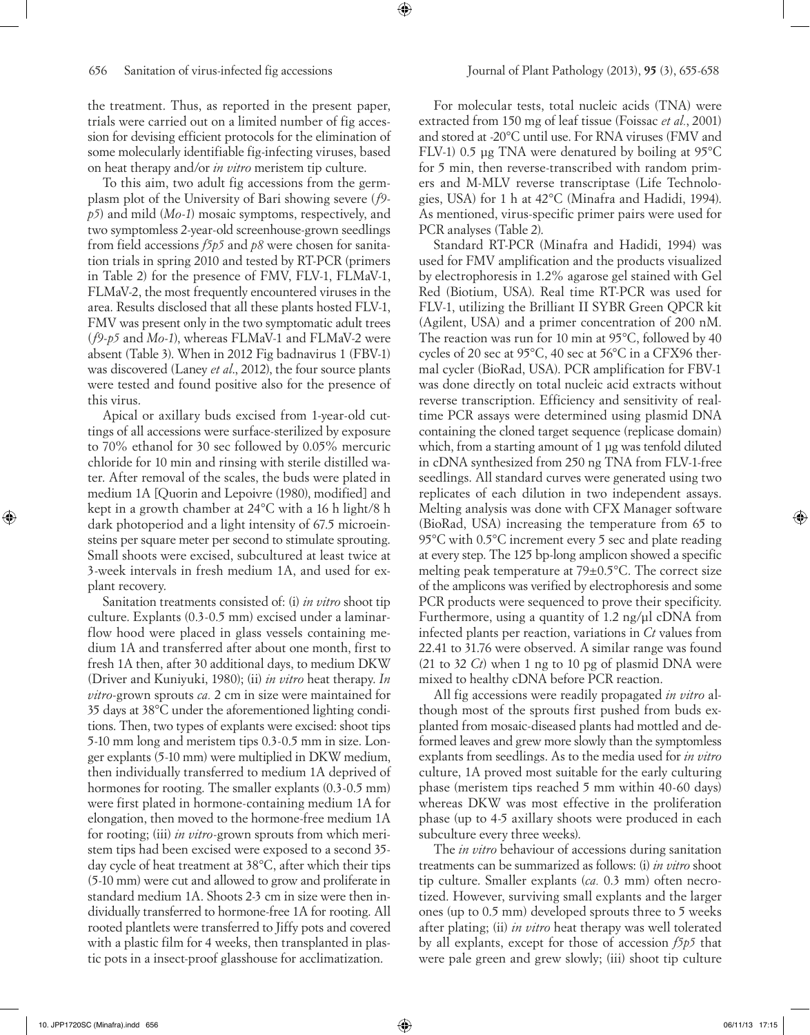the treatment. Thus, as reported in the present paper, trials were carried out on a limited number of fig accession for devising efficient protocols for the elimination of some molecularly identifiable fig-infecting viruses, based on heat therapy and/or *in vitro* meristem tip culture.

To this aim, two adult fig accessions from the germplasm plot of the University of Bari showing severe (*f9 p5*) and mild (*Mo-1*) mosaic symptoms, respectively, and two symptomless 2-year-old screenhouse-grown seedlings from field accessions *f5p5* and *p8* were chosen for sanitation trials in spring 2010 and tested by RT-PCR (primers in Table 2) for the presence of FMV, FLV-1, FLMaV-1, FLMaV-2, the most frequently encountered viruses in the area. Results disclosed that all these plants hosted FLV-1, FMV was present only in the two symptomatic adult trees (*f9-p5* and *Mo-1*), whereas FLMaV-1 and FLMaV-2 were absent (Table 3). When in 2012 Fig badnavirus 1 (FBV-1) was discovered (Laney *et al*., 2012), the four source plants were tested and found positive also for the presence of this virus.

Apical or axillary buds excised from 1-year-old cuttings of all accessions were surface-sterilized by exposure to 70% ethanol for 30 sec followed by 0.05% mercuric chloride for 10 min and rinsing with sterile distilled water. After removal of the scales, the buds were plated in medium 1A [Quorin and Lepoivre (1980), modified] and kept in a growth chamber at 24°C with a 16 h light/8 h dark photoperiod and a light intensity of 67.5 microeinsteins per square meter per second to stimulate sprouting. Small shoots were excised, subcultured at least twice at 3-week intervals in fresh medium 1A, and used for explant recovery.

Sanitation treatments consisted of: (i) *in vitro* shoot tip culture. Explants (0.3-0.5 mm) excised under a laminarflow hood were placed in glass vessels containing medium 1A and transferred after about one month, first to fresh 1A then, after 30 additional days, to medium DKW (Driver and Kuniyuki, 1980); (ii) *in vitro* heat therapy. *In vitro-*grown sprouts *ca.* 2 cm in size were maintained for 35 days at 38°C under the aforementioned lighting conditions. Then, two types of explants were excised: shoot tips 5-10 mm long and meristem tips 0.3-0.5 mm in size. Longer explants (5-10 mm) were multiplied in DKW medium, then individually transferred to medium 1A deprived of hormones for rooting. The smaller explants  $(0.3-0.5 \text{ mm})$ were first plated in hormone-containing medium 1A for elongation, then moved to the hormone-free medium 1A for rooting; (iii) *in vitro*-grown sprouts from which meristem tips had been excised were exposed to a second 35 day cycle of heat treatment at 38°C, after which their tips (5-10 mm) were cut and allowed to grow and proliferate in standard medium 1A. Shoots 2-3 cm in size were then individually transferred to hormone-free 1A for rooting. All rooted plantlets were transferred to Jiffy pots and covered with a plastic film for 4 weeks, then transplanted in plastic pots in a insect-proof glasshouse for acclimatization.

For molecular tests, total nucleic acids (TNA) were extracted from 150 mg of leaf tissue (Foissac *et al.*, 2001) and stored at -20°C until use. For RNA viruses (FMV and FLV-1) 0.5 μg TNA were denatured by boiling at 95°C for 5 min, then reverse-transcribed with random primers and M-MLV reverse transcriptase (Life Technologies, USA) for 1 h at 42°C (Minafra and Hadidi, 1994). As mentioned, virus-specific primer pairs were used for PCR analyses (Table 2).

Standard RT-PCR (Minafra and Hadidi, 1994) was used for FMV amplification and the products visualized by electrophoresis in 1.2% agarose gel stained with Gel Red (Biotium, USA). Real time RT-PCR was used for FLV-1, utilizing the Brilliant II SYBR Green QPCR kit (Agilent, USA) and a primer concentration of 200 nM. The reaction was run for 10 min at 95°C, followed by 40 cycles of 20 sec at 95°C, 40 sec at 56°C in a CFX96 thermal cycler (BioRad, USA). PCR amplification for FBV-1 was done directly on total nucleic acid extracts without reverse transcription. Efficiency and sensitivity of realtime PCR assays were determined using plasmid DNA containing the cloned target sequence (replicase domain) which, from a starting amount of 1 μg was tenfold diluted in cDNA synthesized from 250 ng TNA from FLV-1-free seedlings. All standard curves were generated using two replicates of each dilution in two independent assays. Melting analysis was done with CFX Manager software (BioRad, USA) increasing the temperature from 65 to 95°C with 0.5°C increment every 5 sec and plate reading at every step. The 125 bp-long amplicon showed a specific melting peak temperature at 79±0.5°C. The correct size of the amplicons was verified by electrophoresis and some PCR products were sequenced to prove their specificity. Furthermore, using a quantity of 1.2 ng/μl cDNA from infected plants per reaction, variations in *Ct* values from 22.41 to 31.76 were observed. A similar range was found (21 to 32 *Ct*) when 1 ng to 10 pg of plasmid DNA were mixed to healthy cDNA before PCR reaction.

All fig accessions were readily propagated *in vitro* although most of the sprouts first pushed from buds explanted from mosaic-diseased plants had mottled and deformed leaves and grew more slowly than the symptomless explants from seedlings. As to the media used for *in vitro* culture, 1A proved most suitable for the early culturing phase (meristem tips reached 5 mm within 40-60 days) whereas DKW was most effective in the proliferation phase (up to 4-5 axillary shoots were produced in each subculture every three weeks).

The *in vitro* behaviour of accessions during sanitation treatments can be summarized as follows: (i) *in vitro* shoot tip culture. Smaller explants (*ca.* 0.3 mm) often necrotized. However, surviving small explants and the larger ones (up to 0.5 mm) developed sprouts three to 5 weeks after plating; (ii) *in vitro* heat therapy was well tolerated by all explants, except for those of accession *f5p5* that were pale green and grew slowly; (iii) shoot tip culture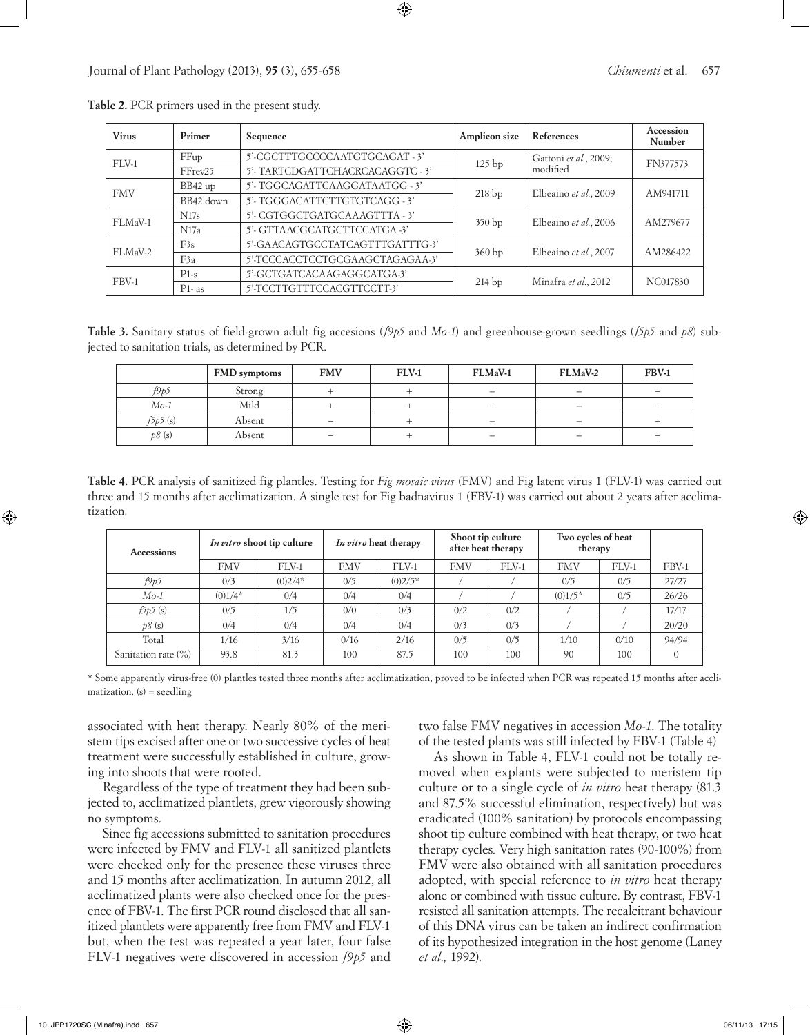| <b>Virus</b> | Primer    | Sequence                         | Amplicon size     | References            | Accession<br>Number |
|--------------|-----------|----------------------------------|-------------------|-----------------------|---------------------|
| $FLV-1$      | FFup      | 5'-CGCTTTGCCCCAATGTGCAGAT - 3'   | 125 <sub>bp</sub> | Gattoni et al., 2009; | FN377573            |
|              | FFrev25   | 5'- TARTCDGATTCHACRCACAGGTC - 3' |                   | modified              |                     |
| <b>FMV</b>   | BB42 up   | 5'- TGGCAGATTCAAGGATAATGG - 3'   |                   |                       | AM941711            |
|              | BB42 down | 5'- TGGGACATTCTTGTGTCAGG - 3'    | 218bp             | Elbeaino et al., 2009 |                     |
| FLMaV-1      | N17s      | 5'-CGTGGCTGATGCAAAGTTTA-3'       |                   |                       | AM279677            |
|              | N17a      | 5'- GTTAACGCATGCTTCCATGA -3'     | 350bp             | Elbeaino et al., 2006 |                     |
| FLMaV-2      | F3s       | 5'-GAACAGTGCCTATCAGTTTGATTTG-3'  |                   | Elbeaino et al., 2007 | AM286422            |
|              | F3a       | 5'-TCCCACCTCCTGCGAAGCTAGAGAA-3'  | 360bp             |                       |                     |
| FBV-1        | $P1-s$    | 5'-GCTGATCACAAGAGGCATGA-3'       |                   |                       | NC017830            |
|              | $P1-as$   | 5'-TCCTTGTTTCCACGTTCCTT-3'       | $214$ bp          | Minafra et al., 2012  |                     |

**Table 2.** PCR primers used in the present study.

**Table 3.** Sanitary status of field-grown adult fig accesions (*f9p5* and *Mo-1*) and greenhouse-grown seedlings (*f5p5* and *p8*) subjected to sanitation trials, as determined by PCR.

|         | FMD symptoms | <b>FMV</b>               | <b>FLV-1</b> | FLMaV-1                         | FLMaV-2                         | FBV-1 |
|---------|--------------|--------------------------|--------------|---------------------------------|---------------------------------|-------|
| f9p5    | Strong       |                          |              | $\overline{\phantom{0}}$        | $\qquad \qquad \  \  \, -$      |       |
| $Mo-1$  | Mild         |                          |              | $\overline{\phantom{0}}$        | $\hspace{0.1mm}-\hspace{0.1mm}$ |       |
| f5p5(s) | Absent       | $\overline{\phantom{0}}$ |              | $\overline{\phantom{0}}$        | —                               |       |
| p8(s)   | Absent       |                          |              | $\hspace{0.1mm}-\hspace{0.1mm}$ | $\hspace{0.1mm}-\hspace{0.1mm}$ |       |

**Table 4.** PCR analysis of sanitized fig plantles. Testing for *Fig mosaic virus* (FMV) and Fig latent virus 1 (FLV-1) was carried out three and 15 months after acclimatization. A single test for Fig badnavirus 1 (FBV-1) was carried out about 2 years after acclimatization.

| <b>Accessions</b>   | <i>In vitro</i> shoot tip culture |           | <i>In vitro</i> heat therapy |           | Shoot tip culture<br>after heat therapy |       | Two cycles of heat<br>therapy |          |       |
|---------------------|-----------------------------------|-----------|------------------------------|-----------|-----------------------------------------|-------|-------------------------------|----------|-------|
|                     | <b>FMV</b>                        | FLV-1     | <b>FMV</b>                   | FLV-1     | <b>FMV</b>                              | FLV-1 | <b>FMV</b>                    | $FI.V-1$ | FBV-1 |
| f9p5                | 0/3                               | $(0)2/4*$ | 0/5                          | $(0)2/5*$ |                                         |       | 0/5                           | 0/5      | 27/27 |
| $Mo-1$              | $(0)1/4*$                         | 0/4       | 0/4                          | 0/4       |                                         |       | $(0)1/5*$                     | 0/5      | 26/26 |
| f5p5(s)             | 0/5                               | 1/5       | 0/0                          | 0/3       | 0/2                                     | 0/2   |                               |          | 17/17 |
| p8(s)               | 0/4                               | 0/4       | 0/4                          | 0/4       | 0/3                                     | 0/3   |                               |          | 20/20 |
| Total               | 1/16                              | 3/16      | 0/16                         | 2/16      | 0/5                                     | 0/5   | 1/10                          | 0/10     | 94/94 |
| Sanitation rate (%) | 93.8                              | 81.3      | 100                          | 87.5      | 100                                     | 100   | 90                            | 100      |       |

\* Some apparently virus-free (0) plantles tested three months after acclimatization, proved to be infected when PCR was repeated 15 months after acclimatization.  $(s)$  = seedling

associated with heat therapy. Nearly 80% of the meristem tips excised after one or two successive cycles of heat treatment were successfully established in culture, growing into shoots that were rooted.

Regardless of the type of treatment they had been subjected to, acclimatized plantlets, grew vigorously showing no symptoms.

Since fig accessions submitted to sanitation procedures were infected by FMV and FLV-1 all sanitized plantlets were checked only for the presence these viruses three and 15 months after acclimatization. In autumn 2012, all acclimatized plants were also checked once for the presence of FBV-1. The first PCR round disclosed that all sanitized plantlets were apparently free from FMV and FLV-1 but, when the test was repeated a year later, four false FLV-1 negatives were discovered in accession *f9p5* and two false FMV negatives in accession *Mo-1*. The totality of the tested plants was still infected by FBV-1 (Table 4)

As shown in Table 4, FLV-1 could not be totally removed when explants were subjected to meristem tip culture or to a single cycle of *in vitro* heat therapy (81.3 and 87.5% successful elimination, respectively) but was eradicated (100% sanitation) by protocols encompassing shoot tip culture combined with heat therapy, or two heat therapy cycles*.* Very high sanitation rates (90-100%) from FMV were also obtained with all sanitation procedures adopted, with special reference to *in vitro* heat therapy alone or combined with tissue culture. By contrast, FBV-1 resisted all sanitation attempts. The recalcitrant behaviour of this DNA virus can be taken an indirect confirmation of its hypothesized integration in the host genome (Laney *et al.,* 1992).